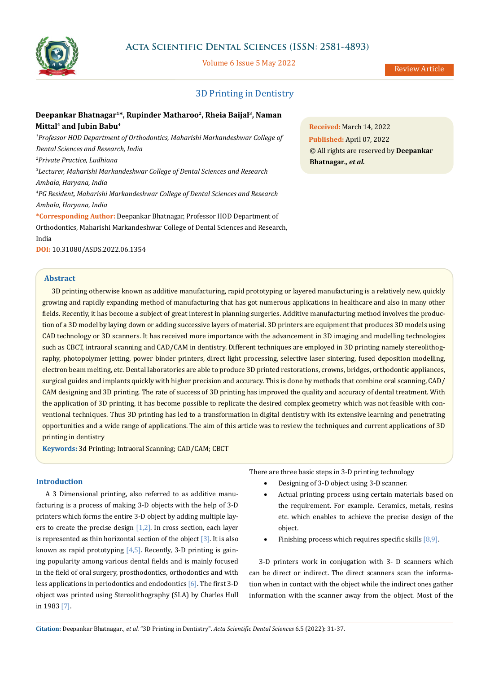

# **Acta Scientific Dental Sciences (ISSN: 2581-4893)**

Volume 6 Issue 5 May 2022

# 3D Printing in Dentistry

# **Deepankar Bhatnagar1\*, Rupinder Matharoo2, Rheia Baijal3, Naman Mittal4 and Jubin Babu4**

<sup>1</sup>Professor HOD Department of Orthodontics, Maharishi Markandeshwar College of *Dental Sciences and Research, India 2 Private Practice, Ludhiana 3 Lecturer, Maharishi Markandeshwar College of Dental Sciences and Research Ambala, Haryana, India 4 PG Resident, Maharishi Markandeshwar College of Dental Sciences and Research Ambala, Haryana, India* **\*Corresponding Author:** Deepankar Bhatnagar, Professor HOD Department of

Orthodontics, Maharishi Markandeshwar College of Dental Sciences and Research, India

**DOI:** [10.31080/ASDS.2022.06.1354](https://actascientific.com/ASDS/pdf/ASDS-06-1354.pdf)

## **Abstract**

3D printing otherwise known as additive manufacturing, rapid prototyping or layered manufacturing is a relatively new, quickly growing and rapidly expanding method of manufacturing that has got numerous applications in healthcare and also in many other fields. Recently, it has become a subject of great interest in planning surgeries. Additive manufacturing method involves the production of a 3D model by laying down or adding successive layers of material. 3D printers are equipment that produces 3D models using CAD technology or 3D scanners. It has received more importance with the advancement in 3D imaging and modelling technologies such as CBCT, intraoral scanning and CAD/CAM in dentistry. Different techniques are employed in 3D printing namely stereolithography, photopolymer jetting, power binder printers, direct light processing, selective laser sintering, fused deposition modelling, electron beam melting, etc. Dental laboratories are able to produce 3D printed restorations, crowns, bridges, orthodontic appliances, surgical guides and implants quickly with higher precision and accuracy. This is done by methods that combine oral scanning, CAD/ CAM designing and 3D printing. The rate of success of 3D printing has improved the quality and accuracy of dental treatment. With the application of 3D printing, it has become possible to replicate the desired complex geometry which was not feasible with conventional techniques. Thus 3D printing has led to a transformation in digital dentistry with its extensive learning and penetrating opportunities and a wide range of applications. The aim of this article was to review the techniques and current applications of 3D printing in dentistry

**Keywords:** 3d Printing; Intraoral Scanning; CAD/CAM; CBCT

#### **Introduction**

A 3 Dimensional printing, also referred to as additive manufacturing is a process of making 3-D objects with the help of 3-D printers which forms the entire 3-D object by adding multiple layers to create the precise design  $[1,2]$ . In cross section, each layer is represented as thin horizontal section of the object  $\lceil 3 \rceil$ . It is also known as rapid prototyping  $[4,5]$ . Recently, 3-D printing is gaining popularity among various dental fields and is mainly focused in the field of oral surgery, prosthodontics, orthodontics and with less applications in periodontics and endodontics  $[6]$ . The first 3-D object was printed using Stereolithography (SLA) by Charles Hull in 1983 [7].

There are three basic steps in 3-D printing technology

- • Designing of 3-D object using 3-D scanner.
- Actual printing process using certain materials based on the requirement. For example. Ceramics, metals, resins etc. which enables to achieve the precise design of the object.
- Finishing process which requires specific skills  $[8,9]$ .

3-D printers work in conjugation with 3- D scanners which can be direct or indirect. The direct scanners scan the information when in contact with the object while the indirect ones gather information with the scanner away from the object. Most of the

**Received:** March 14, 2022 **Published:** April 07, 2022 © All rights are reserved by **Deepankar Bhatnagar***., et al.*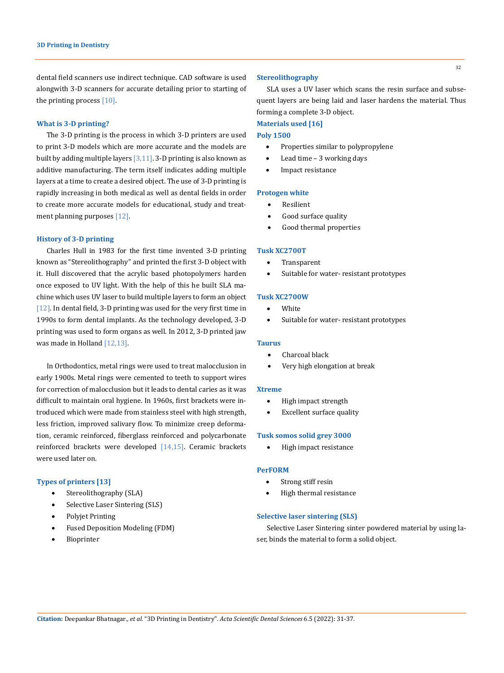dental field scanners use indirect technique. CAD software is used alongwith 3-D scanners for accurate detailing prior to starting of the printing process  $[10]$ .

#### **What is 3-D printing?**

The 3-D printing is the process in which 3-D printers are used to print 3-D models which are more accurate and the models are built by adding multiple layers  $[3,11]$ . 3-D printing is also known as additive manufacturing. The term itself indicates adding multiple layers at a time to create a desired object. The use of 3-D printing is rapidly increasing in both medical as well as dental fields in order to create more accurate models for educational, study and treatment planning purposes [12].

## **History of 3-D printing**

Charles Hull in 1983 for the first time invented 3-D printing known as "Stereolithography" and printed the first 3-D object with it. Hull discovered that the acrylic based photopolymers harden once exposed to UV light. With the help of this he built SLA machine which uses UV laser to build multiple layers to form an object [12]. In dental field, 3-D printing was used for the very first time in 1990s to form dental implants. As the technology developed, 3-D printing was used to form organs as well. In 2012, 3-D printed jaw was made in Holland [12,13].

In Orthodontics, metal rings were used to treat malocclusion in early 1900s. Metal rings were cemented to teeth to support wires for correction of malocclusion but it leads to dental caries as it was difficult to maintain oral hygiene. In 1960s, first brackets were introduced which were made from stainless steel with high strength, less friction, improved salivary flow. To minimize creep deformation, ceramic reinforced, fiberglass reinforced and polycarbonate reinforced brackets were developed [14,15]. Ceramic brackets were used later on.

#### **Types of printers [13]**

- Stereolithography (SLA)
- Selective Laser Sintering (SLS)
- Polyjet Printing
- Fused Deposition Modeling (FDM)
- **Bioprinter**

## **Stereolithography**

SLA uses a UV laser which scans the resin surface and subsequent layers are being laid and laser hardens the material. Thus forming a complete 3-D object.

**Materials used [16]**

# **Poly 1500**

- Properties similar to polypropylene
- Lead time 3 working days
- Impact resistance

#### **Protogen white**

- • Resilient
- Good surface quality
- Good thermal properties

#### **Tusk XC2700T**

- • Transparent
- Suitable for water- resistant prototypes

#### **Tusk XC2700W**

- • White
- Suitable for water- resistant prototypes

#### **Taurus**

- Charcoal black
- Very high elongation at break

#### **Xtreme**

- • High impact strength
- **Excellent surface quality**

#### **Tusk somos solid grey 3000**

High impact resistance

## **PerFORM**

- Strong stiff resin
- High thermal resistance

#### **Selective laser sintering (SLS)**

Selective Laser Sintering sinter powdered material by using laser, binds the material to form a solid object.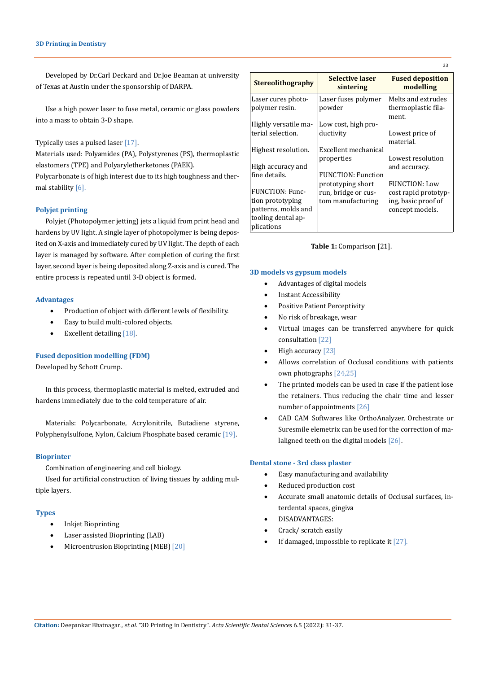Developed by Dr.Carl Deckard and Dr.Joe Beaman at university of Texas at Austin under the sponsorship of DARPA.

Use a high power laser to fuse metal, ceramic or glass powders into a mass to obtain 3-D shape.

## Typically uses a pulsed laser [17].

Materials used: Polyamides (PA), Polystyrenes (PS), thermoplastic elastomers (TPE) and Polyaryletherketones (PAEK).

Polycarbonate is of high interest due to its high toughness and thermal stability [6].

## **Polyjet printing**

Polyjet (Photopolymer jetting) jets a liquid from print head and hardens by UV light. A single layer of photopolymer is being deposited on X-axis and immediately cured by UV light. The depth of each layer is managed by software. After completion of curing the first layer, second layer is being deposited along Z-axis and is cured. The entire process is repeated until 3-D object is formed.

#### **Advantages**

- • Production of object with different levels of flexibility.
- Easy to build multi-colored objects.
- Excellent detailing [18].

#### **Fused deposition modelling (FDM)**

Developed by Schott Crump.

In this process, thermoplastic material is melted, extruded and hardens immediately due to the cold temperature of air.

Materials: Polycarbonate, Acrylonitrile, Butadiene styrene, Polyphenylsulfone, Nylon, Calcium Phosphate based ceramic [19].

#### **Bioprinter**

Combination of engineering and cell biology.

Used for artificial construction of living tissues by adding multiple layers.

#### **Types**

- **Inkjet Bioprinting**
- Laser assisted Bioprinting (LAB)
- Microentrusion Bioprinting (MEB) [20]

| <b>Stereolithography</b>             | <b>Selective laser</b><br>sintering | <b>Fused deposition</b><br>modelling               |
|--------------------------------------|-------------------------------------|----------------------------------------------------|
| Laser cures photo-<br>polymer resin. | Laser fuses polymer<br>powder       | Melts and extrudes<br>thermoplastic fila-<br>ment. |
| Highly versatile ma-                 | Low cost, high pro-                 |                                                    |
| terial selection.                    | ductivity                           | Lowest price of<br>material.                       |
| Highest resolution.                  | Excellent mechanical                |                                                    |
| High accuracy and                    | properties                          | Lowest resolution<br>and accuracy.                 |
| fine details.                        | FUNCTION: Function                  |                                                    |
|                                      | prototyping short                   | <b>FUNCTION: Low</b>                               |
| FUNCTION: Func-                      | run, bridge or cus-                 | cost rapid prototyp-                               |
| tion prototyping                     | tom manufacturing                   | ing, basic proof of                                |
| patterns, molds and                  |                                     | concept models.                                    |
| tooling dental ap-                   |                                     |                                                    |
| plications                           |                                     |                                                    |

**Table 1:** Comparison [21].

#### **3D models vs gypsum models**

- • Advantages of digital models
- **Instant Accessibility**
- Positive Patient Perceptivity
- No risk of breakage, wear
- Virtual images can be transferred anywhere for quick consultation [22]
- High accuracy [23]
- Allows correlation of Occlusal conditions with patients own photographs [24,25]
- The printed models can be used in case if the patient lose the retainers. Thus reducing the chair time and lesser number of appointments [26]
- CAD CAM Softwares like OrthoAnalyzer, Orchestrate or Suresmile elemetrix can be used for the correction of malaligned teeth on the digital models [26].

## **Dental stone - 3rd class plaster**

- Easy manufacturing and availability
- Reduced production cost
- Accurate small anatomic details of Occlusal surfaces, interdental spaces, gingiva
- DISADVANTAGES:
- Crack/ scratch easily
- If damaged, impossible to replicate it  $[27]$ .

33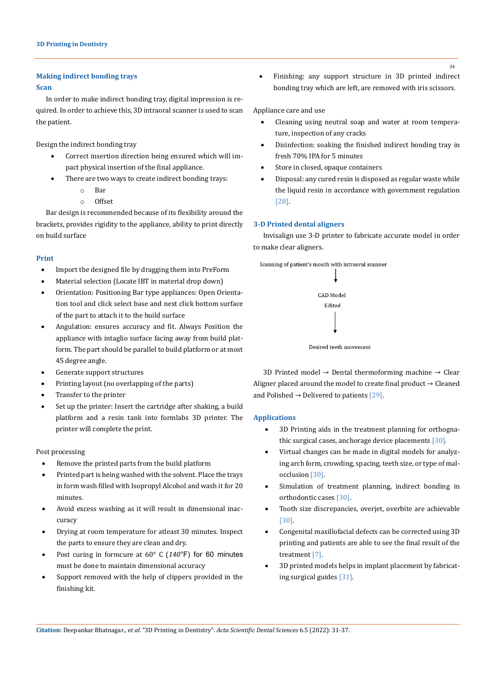## **Making indirect bonding trays**

#### **Scan**

In order to make indirect bonding tray, digital impression is required. In order to achieve this, 3D intraoral scanner is used to scan the patient.

Design the indirect bonding tray

- Correct insertion direction being ensured which will impact physical insertion of the final appliance.
	- There are two ways to create indirect bonding trays:
		- o Bar
		- o Offset

Bar design is recommended because of its flexibility around the brackets, provides rigidity to the appliance, ability to print directly on build surface

## **Print**

- Import the designed file by dragging them into PreForm
- Material selection (Locate IBT in material drop down)
- Orientation: Positioning Bar type appliances: Open Orientation tool and click select base and next click bottom surface of the part to attach it to the build surface
- Angulation: ensures accuracy and fit. Always Position the appliance with intaglio surface facing away from build platform. The part should be parallel to build platform or at most 45 degree angle.
- Generate support structures
- Printing layout (no overlapping of the parts)
- Transfer to the printer
- Set up the printer: Insert the cartridge after shaking, a build platform and a resin tank into formlabs 3D printer. The printer will complete the print.

#### Post processing

- • Remove the printed parts from the build platform
- Printed part is being washed with the solvent. Place the trays in form wash filled with Isopropyl Alcohol and wash it for 20 minutes.
- Avoid excess washing as it will result in dimensional inaccuracy
- Drying at room temperature for atleast 30 minutes. Inspect the parts to ensure they are clean and dry.
- Post curing in formcure at 60° C (140°F) for 60 minutes must be done to maintain dimensional accuracy
- Support removed with the help of clippers provided in the finishing kit.

Finishing: any support structure in 3D printed indirect bonding tray which are left, are removed with iris scissors.

#### Appliance care and use

- • Cleaning using neutral soap and water at room temperature, inspection of any cracks
- Disinfection: soaking the finished indirect bonding tray in fresh 70% IPA for 5 minutes
- Store in closed, opaque containers
- Disposal: any cured resin is disposed as regular waste while the liquid resin in accordance with government regulation [28].

## **3-D Printed dental aligners**

Invisalign use 3-D printer to fabricate accurate model in order to make clear aligners.



3D Printed model  $\rightarrow$  Dental thermoforming machine  $\rightarrow$  Clear Aligner placed around the model to create final product  $\rightarrow$  Cleaned and Polished  $\rightarrow$  Delivered to patients [29].

## **Applications**

- 3D Printing aids in the treatment planning for orthognathic surgical cases, anchorage device placements [30].
- Virtual changes can be made in digital models for analyzing arch form, crowding, spacing, teeth size, or type of malocclusion [30].
- Simulation of treatment planning, indirect bonding in orthodontic cases [30].
- Tooth size discrepancies, overjet, overbite are achievable [30].
- Congenital maxillofacial defects can be corrected using 3D printing and patients are able to see the final result of the treatment [7].
- 3D printed models helps in implant placement by fabricating surgical guides [31].

34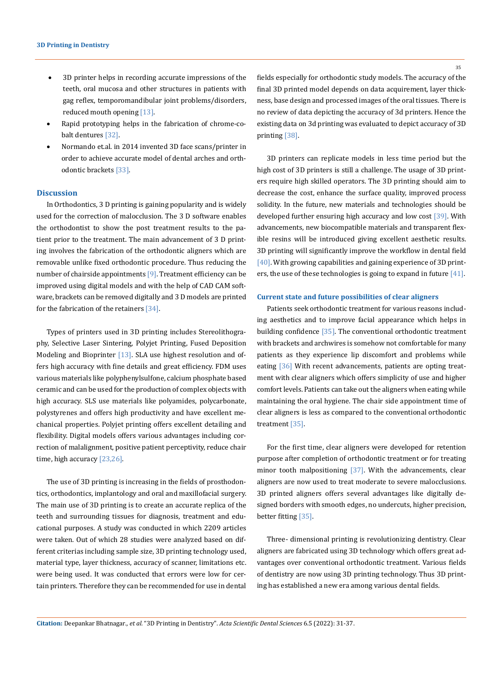- 3D printer helps in recording accurate impressions of the teeth, oral mucosa and other structures in patients with gag reflex, temporomandibular joint problems/disorders, reduced mouth opening [13].
- Rapid prototyping helps in the fabrication of chrome-cobalt dentures [32].
- Normando et.al. in 2014 invented 3D face scans/printer in order to achieve accurate model of dental arches and orthodontic brackets [33].

#### **Discussion**

In Orthodontics, 3 D printing is gaining popularity and is widely used for the correction of malocclusion. The 3 D software enables the orthodontist to show the post treatment results to the patient prior to the treatment. The main advancement of 3 D printing involves the fabrication of the orthodontic aligners which are removable unlike fixed orthodontic procedure. Thus reducing the number of chairside appointments  $[9]$ . Treatment efficiency can be improved using digital models and with the help of CAD CAM software, brackets can be removed digitally and 3 D models are printed for the fabrication of the retainers [34].

Types of printers used in 3D printing includes Stereolithography, Selective Laser Sintering, Polyjet Printing, Fused Deposition Modeling and Bioprinter [13]. SLA use highest resolution and offers high accuracy with fine details and great efficiency. FDM uses various materials like polyphenylsulfone, calcium phosphate based ceramic and can be used for the production of complex objects with high accuracy. SLS use materials like polyamides, polycarbonate, polystyrenes and offers high productivity and have excellent mechanical properties. Polyjet printing offers excellent detailing and flexibility. Digital models offers various advantages including correction of malalignment, positive patient perceptivity, reduce chair time, high accuracy [23,26].

The use of 3D printing is increasing in the fields of prosthodontics, orthodontics, implantology and oral and maxillofacial surgery. The main use of 3D printing is to create an accurate replica of the teeth and surrounding tissues for diagnosis, treatment and educational purposes. A study was conducted in which 2209 articles were taken. Out of which 28 studies were analyzed based on different criterias including sample size, 3D printing technology used, material type, layer thickness, accuracy of scanner, limitations etc. were being used. It was conducted that errors were low for certain printers. Therefore they can be recommended for use in dental 35

fields especially for orthodontic study models. The accuracy of the final 3D printed model depends on data acquirement, layer thickness, base design and processed images of the oral tissues. There is no review of data depicting the accuracy of 3d printers. Hence the existing data on 3d printing was evaluated to depict accuracy of 3D printing [38].

3D printers can replicate models in less time period but the high cost of 3D printers is still a challenge. The usage of 3D printers require high skilled operators. The 3D printing should aim to decrease the cost, enhance the surface quality, improved process solidity. In the future, new materials and technologies should be developed further ensuring high accuracy and low cost [39]. With advancements, new biocompatible materials and transparent flexible resins will be introduced giving excellent aesthetic results. 3D printing will significantly improve the workflow in dental field [40]. With growing capabilities and gaining experience of 3D printers, the use of these technologies is going to expand in future [41].

#### **Current state and future possibilities of clear aligners**

Patients seek orthodontic treatment for various reasons including aesthetics and to improve facial appearance which helps in building confidence [35]. The conventional orthodontic treatment with brackets and archwires is somehow not comfortable for many patients as they experience lip discomfort and problems while eating [36] With recent advancements, patients are opting treatment with clear aligners which offers simplicity of use and higher comfort levels. Patients can take out the aligners when eating while maintaining the oral hygiene. The chair side appointment time of clear aligners is less as compared to the conventional orthodontic treatment [35].

For the first time, clear aligners were developed for retention purpose after completion of orthodontic treatment or for treating minor tooth malpositioning [37]. With the advancements, clear aligners are now used to treat moderate to severe malocclusions. 3D printed aligners offers several advantages like digitally designed borders with smooth edges, no undercuts, higher precision, better fitting [35].

Three- dimensional printing is revolutionizing dentistry. Clear aligners are fabricated using 3D technology which offers great advantages over conventional orthodontic treatment. Various fields of dentistry are now using 3D printing technology. Thus 3D printing has established a new era among various dental fields.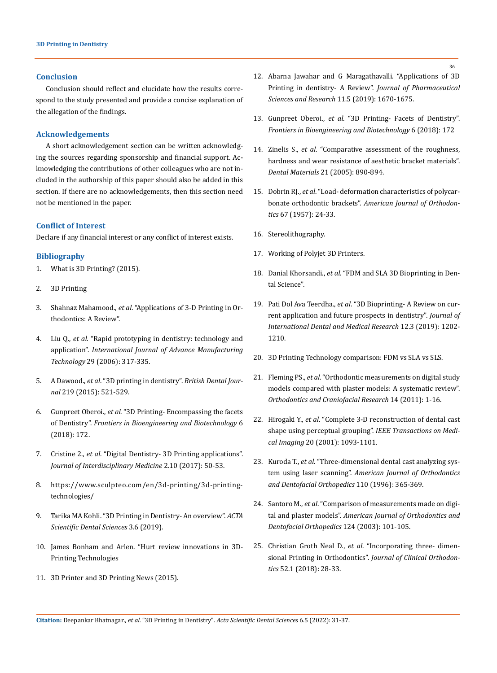## **Conclusion**

Conclusion should reflect and elucidate how the results correspond to the study presented and provide a concise explanation of the allegation of the findings.

## **Acknowledgements**

A short acknowledgement section can be written acknowledging the sources regarding sponsorship and financial support. Acknowledging the contributions of other colleagues who are not included in the authorship of this paper should also be added in this section. If there are no acknowledgements, then this section need not be mentioned in the paper.

## **Conflict of Interest**

Declare if any financial interest or any conflict of interest exists.

## **Bibliography**

- 1. What is 3D Printing? (2015).
- 2. 3D Printing
- 3. Shahnaz Mahamood., *et al*. "Applications of 3-D Printing in Orthodontics: A Review".
- 4. Liu Q., *et al*[. "Rapid prototyping in dentistry: technology and](https://link.springer.com/article/10.1007/s00170-005-2523-2)  application". *International [Journal of Advance Manufacturing](https://link.springer.com/article/10.1007/s00170-005-2523-2)  Technology* [29 \(2006\): 317-335.](https://link.springer.com/article/10.1007/s00170-005-2523-2)
- 5. A Dawood., *et al*[. "3D printing in dentistry".](https://www.nature.com/articles/sj.bdj.2015.914) *British Dental Journal* [219 \(2015\): 521-529.](https://www.nature.com/articles/sj.bdj.2015.914)
- 6. Gunpreet Oberoi., *et al*[. "3D Printing- Encompassing the facets](https://pubmed.ncbi.nlm.nih.gov/30525032/)  of Dentistry". *[Frontiers in Bioengineering and Biotechnology](https://pubmed.ncbi.nlm.nih.gov/30525032/)* 6 [\(2018\): 172.](https://pubmed.ncbi.nlm.nih.gov/30525032/)
- 7. Cristine 2., *et al*[. "Digital Dentistry- 3D Printing applications".](https://www.researchgate.net/publication/318443616_Digital_Dentistry_-_3D_Printing_Applications)  *[Journal of Interdisciplinary Medicine](https://www.researchgate.net/publication/318443616_Digital_Dentistry_-_3D_Printing_Applications)* 2.10 (2017): 50-53.
- 8. [https://www.sculpteo.com/en/3d-printing/3d-printing](https://www.sculpteo.com/en/3d-printing/3d-printing-technologies/)[technologies/](https://www.sculpteo.com/en/3d-printing/3d-printing-technologies/)
- 9. Tarika MA Kohli. "3D Printing in Dentistry- An overview". *ACTA Scientific Dental Sciences* 3.6 (2019).
- 10. James Bonham and Arlen. "Hurt review innovations in 3D-Printing Technologies
- 11. 3D Printer and 3D Printing News (2015).
- 12. [Abarna Jawahar and G Maragathavalli. "Applications of 3D](https://www.jpsr.pharmainfo.in/Documents/Volumes/vol11issue05/jpsr11051901.pdf)  [Printing in dentistry- A Review".](https://www.jpsr.pharmainfo.in/Documents/Volumes/vol11issue05/jpsr11051901.pdf) *Journal of Pharmaceutical Sciences and Research* [11.5 \(2019\): 1670-1675.](https://www.jpsr.pharmainfo.in/Documents/Volumes/vol11issue05/jpsr11051901.pdf)
- 13. Gunpreet Oberoi., *et al*. "3D Printing- Facets of Dentistry". *Frontiers in Bioengineering and Biotechnology* 6 (2018): 172
- 14. Zinelis S., *et al*[. "Comparative assessment of the roughness,](https://pubmed.ncbi.nlm.nih.gov/16045979/)  [hardness and wear resistance of aesthetic bracket materials".](https://pubmed.ncbi.nlm.nih.gov/16045979/)  *[Dental Materials](https://pubmed.ncbi.nlm.nih.gov/16045979/)* 21 (2005): 890-894.
- 15. Dobrin RJ., *et al*[. "Load- deformation characteristics of polycar](https://pubmed.ncbi.nlm.nih.gov/803024/)bonate orthodontic brackets". *[American Journal of Orthodon](https://pubmed.ncbi.nlm.nih.gov/803024/)tics* [67 \(1957\): 24-33.](https://pubmed.ncbi.nlm.nih.gov/803024/)
- 16. Stereolithography.
- 17. [Working of Polyjet 3D Printers.](https://www.designtechproducts.com/index.php?/articles/polyjet-printers-working)
- 18. Danial Khorsandi., *et al*. "FDM and SLA 3D Bioprinting in Dental Science".
- 19. Pati Dol Ava Teerdha., *et al*[. "3D Bioprinting- A Review on cur](https://www.researchgate.net/publication/336496628_3D_Bio-Printing-A_Review_on_Current_Application_and_Future_Prospects_in_Dentistry)[rent application and future prospects in dentistry".](https://www.researchgate.net/publication/336496628_3D_Bio-Printing-A_Review_on_Current_Application_and_Future_Prospects_in_Dentistry) *Journal of [International Dental and Medical Research](https://www.researchgate.net/publication/336496628_3D_Bio-Printing-A_Review_on_Current_Application_and_Future_Prospects_in_Dentistry)* 12.3 (2019): 1202- [1210.](https://www.researchgate.net/publication/336496628_3D_Bio-Printing-A_Review_on_Current_Application_and_Future_Prospects_in_Dentistry)
- 20. 3D Printing Technology comparison: FDM vs SLA vs SLS.
- 21. Fleming PS., *et al*[. "Orthodontic measurements on digital study](https://pubmed.ncbi.nlm.nih.gov/21205164/)  [models compared with plaster models: A systematic review".](https://pubmed.ncbi.nlm.nih.gov/21205164/)  *[Orthodontics and Craniofacial Research](https://pubmed.ncbi.nlm.nih.gov/21205164/)* 14 (2011): 1-16.
- 22. Hirogaki Y., *et al*[. "Complete 3-D reconstruction of dental cast](https://pubmed.ncbi.nlm.nih.gov/11686444/)  shape using perceptual grouping". *[IEEE Transactions on Medi](https://pubmed.ncbi.nlm.nih.gov/11686444/)cal Imaging* [20 \(2001\): 1093-1101.](https://pubmed.ncbi.nlm.nih.gov/11686444/)
- 23. Kuroda T., *et al*[. "Three-dimensional dental cast analyzing sys](https://pubmed.ncbi.nlm.nih.gov/8876485/)tem using laser scanning". *[American Journal of Orthodontics](https://pubmed.ncbi.nlm.nih.gov/8876485/)  [and Dentofacial Orthopedics](https://pubmed.ncbi.nlm.nih.gov/8876485/)* 110 (1996): 365-369.
- 24. Santoro M., *et al*[. "Comparison of measurements made on digi](https://pubmed.ncbi.nlm.nih.gov/12867904/)tal and plaster models". *[American Journal of Orthodontics and](https://pubmed.ncbi.nlm.nih.gov/12867904/)  [Dentofacial Orthopedics](https://pubmed.ncbi.nlm.nih.gov/12867904/)* 124 (2003): 101-105.
- 25. Christian Groth Neal D., *et al*[. "Incorporating three- dimen](https://pubmed.ncbi.nlm.nih.gov/29447128/)[sional Printing in Orthodontics".](https://pubmed.ncbi.nlm.nih.gov/29447128/) *Journal of Clinical Orthodontics* [52.1 \(2018\): 28-33.](https://pubmed.ncbi.nlm.nih.gov/29447128/)

**Citation:** Deepankar Bhatnagar*., et al.* "3D Printing in Dentistry". *Acta Scientific Dental Sciences* 6.5 (2022): 31-37.

36